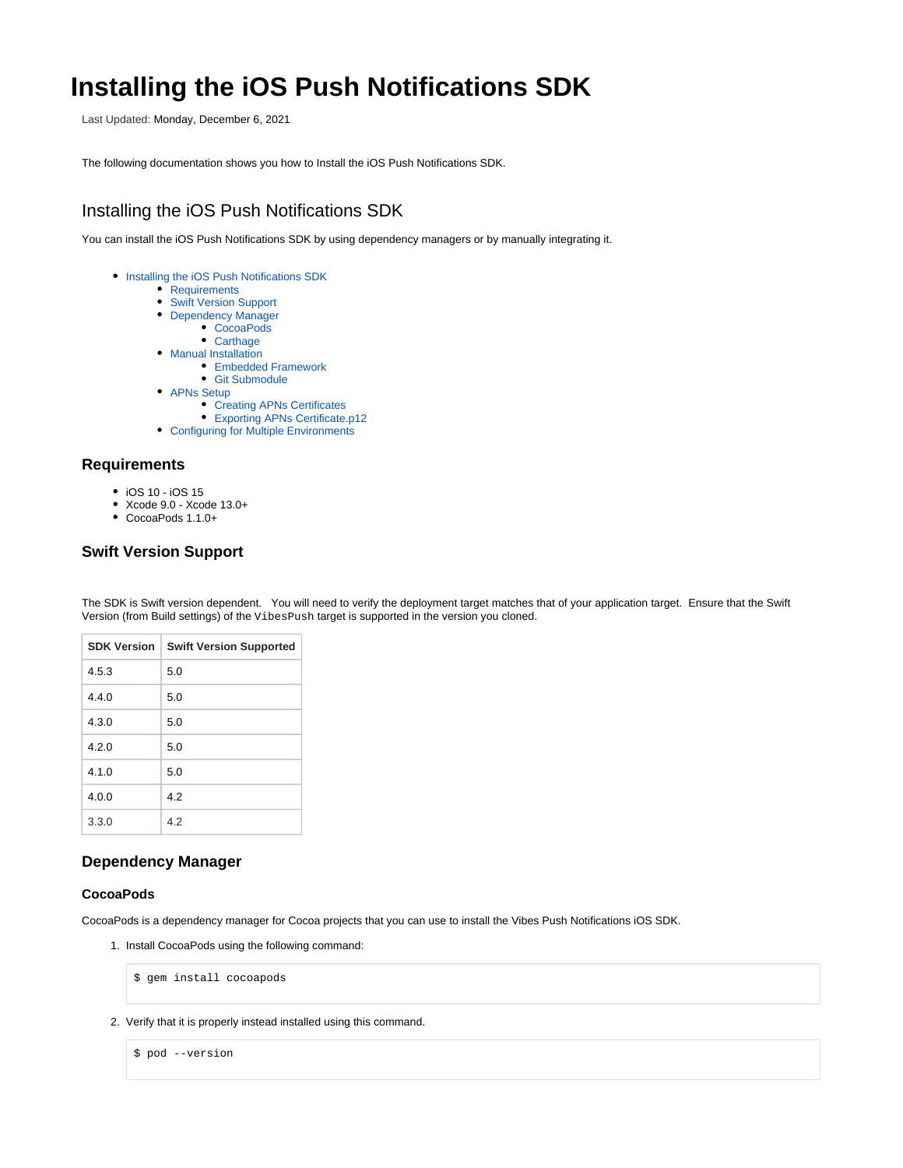# **Installing the iOS Push Notifications SDK**

Last Updated: Monday, December 6, 2021

The following documentation shows you how to Install the iOS Push Notifications SDK.

# <span id="page-0-0"></span>Installing the iOS Push Notifications SDK

You can install the iOS Push Notifications SDK by using dependency managers or by manually integrating it.

- **[Installing the iOS Push Notifications SDK](#page-0-0)** 
	- [Requirements](#page-0-1)
	- [Swift Version Support](#page-0-2)
	- [Dependency Manager](#page-0-3)
		- [CocoaPods](#page-0-4)
		- [Carthage](#page-1-0)
	- [Manual Installation](#page-1-1)
		- [Embedded Framework](#page-1-2) [Git Submodule](#page-1-3)
	- APNs Setup
		- [Creating APNs Certificates](#page-2-1)
		- [Exporting APNs Certificate.p12](#page-3-0)
	- [Configuring for Multiple Environments](#page-4-0)

## <span id="page-0-1"></span>**Requirements**

- iOS 10 iOS 15
- Xcode 9.0 Xcode 13.0+
- CocoaPods 1.1.0+

# <span id="page-0-2"></span>**Swift Version Support**

The SDK is Swift version dependent. You will need to verify the deployment target matches that of your application target. Ensure that the Swift Version (from Build settings) of the VibesPush target is supported in the version you cloned.

| <b>SDK Version</b> | <b>Swift Version Supported</b> |
|--------------------|--------------------------------|
| 4.5.3              | 5.0                            |
| 4.4.0              | 5.0                            |
| 4.3.0              | 5.0                            |
| 4.2.0              | 5.0                            |
| 4.1.0              | 5.0                            |
| 4.0.0              | 4.2                            |
| 3.3.0              | 4.2                            |

# <span id="page-0-3"></span>**Dependency Manager**

#### <span id="page-0-4"></span>**CocoaPods**

CocoaPods is a dependency manager for Cocoa projects that you can use to install the Vibes Push Notifications iOS SDK.

1. Install CocoaPods using the following command:

```
$ gem install cocoapods
```
2. Verify that it is properly instead installed using this command.

```
$ pod --version
```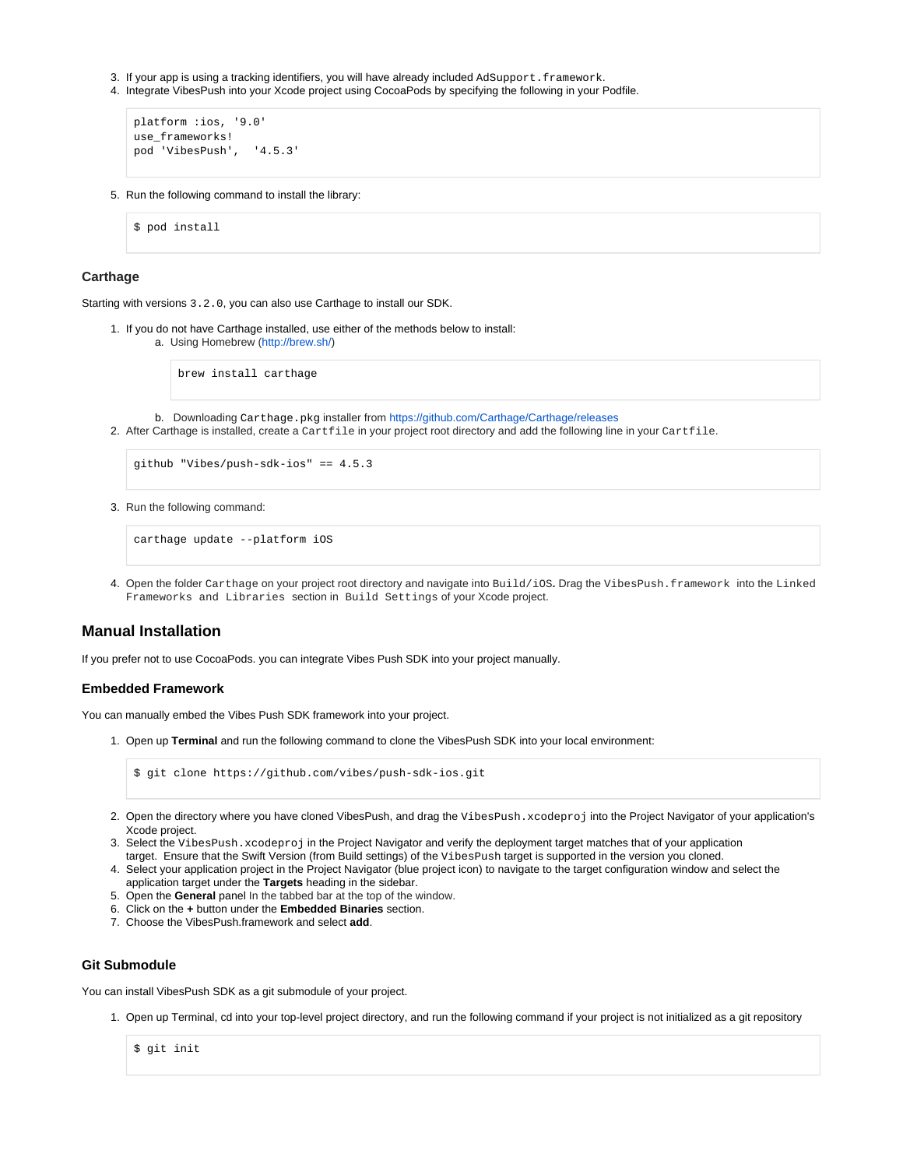- 3. If your app is using a tracking identifiers, you will have already included AdSupport.framework.
- 4. Integrate VibesPush into your Xcode project using CocoaPods by specifying the following in your Podfile.

```
platform :ios, '9.0' 
use_frameworks! 
pod 'VibesPush', '4.5.3'
```
5. Run the following command to install the library:

\$ pod install

#### <span id="page-1-0"></span>**Carthage**

Starting with versions 3.2.0, you can also use Carthage to install our SDK.

1. If you do not have Carthage installed, use either of the methods below to install:

a. Using Homebrew ([http://brew.sh/\)](http://brew.sh/)

brew install carthage

b. Downloading Carthage.pkg installer from<https://github.com/Carthage/Carthage/releases>

2. After Carthage is installed, create a Cartfile in your project root directory and add the following line in your Cartfile.

```
github "Vibes/push-sdk-ios" == 4.5.3
```
3. Run the following command:

carthage update --platform iOS

4. Open the folder Carthage on your project root directory and navigate into Build/iOS**.** Drag the VibesPush.framework into the Linked Frameworks and Libraries section in Build Settings of your Xcode project.

## <span id="page-1-1"></span>**Manual Installation**

If you prefer not to use CocoaPods. you can integrate Vibes Push SDK into your project manually.

#### <span id="page-1-2"></span>**Embedded Framework**

You can manually embed the Vibes Push SDK framework into your project.

1. Open up **Terminal** and run the following command to clone the VibesPush SDK into your local environment:

\$ git clone https://github.com/vibes/push-sdk-ios.git

- 2. Open the directory where you have cloned VibesPush, and drag the VibesPush.xcodeproj into the Project Navigator of your application's Xcode project.
- 3. Select the VibesPush.xcodeproj in the Project Navigator and verify the deployment target matches that of your application target. Ensure that the Swift Version (from Build settings) of the VibesPush target is supported in the version you cloned.
- 4. Select your application project in the Project Navigator (blue project icon) to navigate to the target configuration window and select the application target under the **Targets** heading in the sidebar.
- 5. Open the **General** panel In the tabbed bar at the top of the window.
- 6. Click on the **+** button under the **Embedded Binaries** section.
- 7. Choose the VibesPush.framework and select **add**.

### <span id="page-1-3"></span>**Git Submodule**

You can install VibesPush SDK as a git submodule of your project.

1. Open up Terminal, cd into your top-level project directory, and run the following command if your project is not initialized as a git repository

\$ git init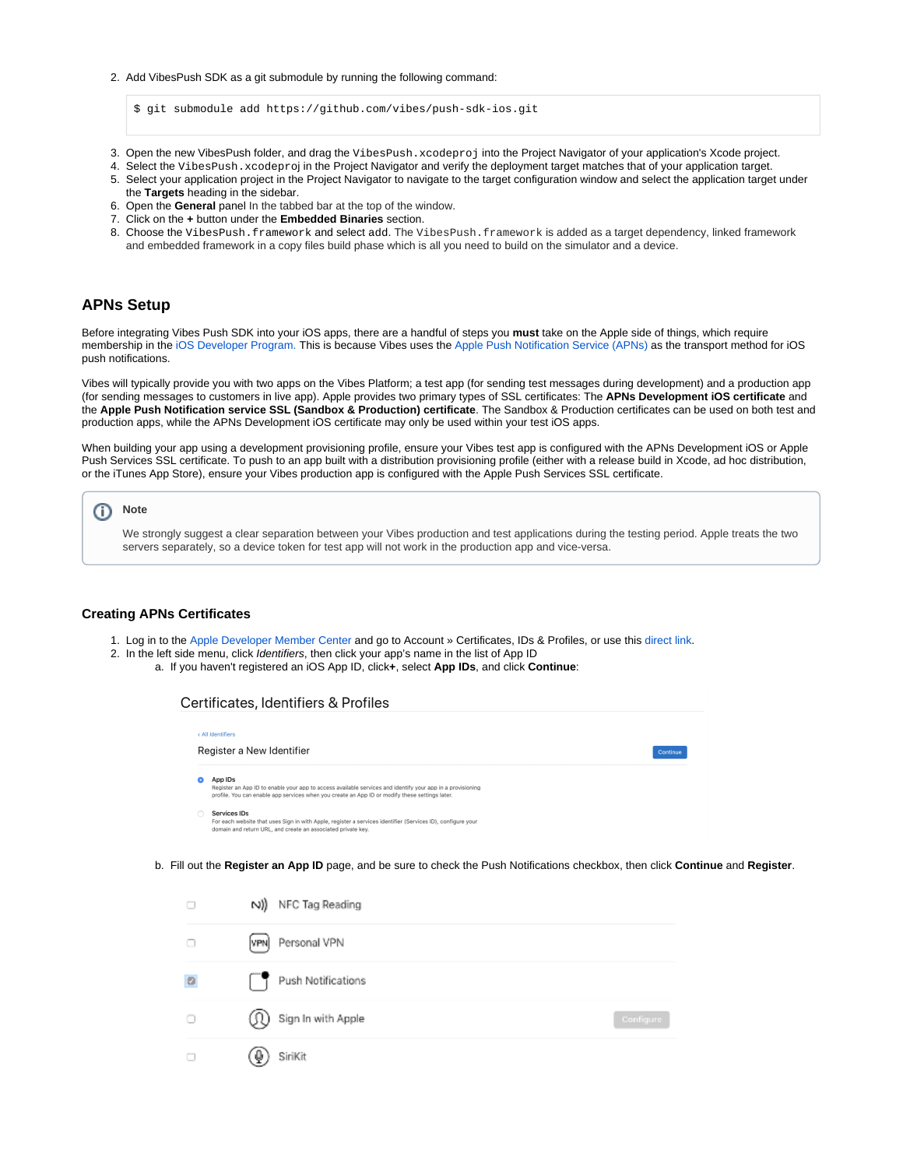2. Add VibesPush SDK as a git submodule by running the following command:

\$ git submodule add https://github.com/vibes/push-sdk-ios.git

- 3. Open the new VibesPush folder, and drag the VibesPush.xcodeproj into the Project Navigator of your application's Xcode project.
- 4. Select the VibesPush.xcodeproj in the Project Navigator and verify the deployment target matches that of your application target.
- 5. Select your application project in the Project Navigator to navigate to the target configuration window and select the application target under the **Targets** heading in the sidebar.
- 6. Open the **General** panel In the tabbed bar at the top of the window.
- 7. Click on the **+** button under the **Embedded Binaries** section.
- 8. Choose the VibesPush.framework and select add. The VibesPush.framework is added as a target dependency, linked framework and embedded framework in a copy files build phase which is all you need to build on the simulator and a device.

## <span id="page-2-0"></span>**APNs Setup**

Before integrating Vibes Push SDK into your iOS apps, there are a handful of steps you **must** take on the Apple side of things, which require membership in the [iOS Developer Program.](https://developer.apple.com/programs/ios/) This is because Vibes uses the [Apple Push Notification Service \(APNs\)](https://developer.apple.com/library/archive/documentation/NetworkingInternet/Conceptual/RemoteNotificationsPG/APNSOverview.html#//apple_ref/doc/uid/TP40008194-CH8-SW1) as the transport method for iOS push notifications.

Vibes will typically provide you with two apps on the Vibes Platform; a test app (for sending test messages during development) and a production app (for sending messages to customers in live app). Apple provides two primary types of SSL certificates: The **APNs Development iOS certificate** and the **Apple Push Notification service SSL (Sandbox & Production) certificate**. The Sandbox & Production certificates can be used on both test and production apps, while the APNs Development iOS certificate may only be used within your test iOS apps.

When building your app using a development provisioning profile, ensure your Vibes test app is configured with the APNs Development iOS or Apple Push Services SSL certificate. To push to an app built with a distribution provisioning profile (either with a release build in Xcode, ad hoc distribution, or the iTunes App Store), ensure your Vibes production app is configured with the Apple Push Services SSL certificate.



We strongly suggest a clear separation between your Vibes production and test applications during the testing period. Apple treats the two servers separately, so a device token for test app will not work in the production app and vice-versa.

#### <span id="page-2-1"></span>**Creating APNs Certificates**

- 1. Log in to the [Apple Developer Member Center](https://developer.apple.com/) and go to Account » Certificates, IDs & Profiles, or use this [direct link](https://developer.apple.com/account/resources/certificates/).
- 2. In the left side menu, click Identifiers, then click your app's name in the list of App ID
	- a. If you haven't registered an iOS App ID, click**+**, select **App IDs**, and click **Continue**:

| Certificates, Identifiers & Profiles                                                                                                                                                                                    |          |
|-------------------------------------------------------------------------------------------------------------------------------------------------------------------------------------------------------------------------|----------|
| < All Identifiers                                                                                                                                                                                                       |          |
| Register a New Identifier                                                                                                                                                                                               | Continue |
| App IDs<br>Register an App ID to enable your app to access available services and identify your app in a provisioning<br>profile. You can enable app services when you create an App ID or modify these settings later. |          |
| Services IDs<br>For each website that uses Sign in with Apple, register a services identifier (Services ID), configure your<br>domain and return URL, and create an associated private key.                             |          |

b. Fill out the **Register an App ID** page, and be sure to check the Push Notifications checkbox, then click **Continue** and **Register**.

|                     | N) NFC Tag Reading     |           |
|---------------------|------------------------|-----------|
| $\Box$              | [VPN] Personal VPN     |           |
| $\hfill \Box$       | Push Notifications     |           |
| $\circlearrowright$ | (1) Sign In with Apple | Configure |
| $\Box$              | SiriKit<br>Ψ.          |           |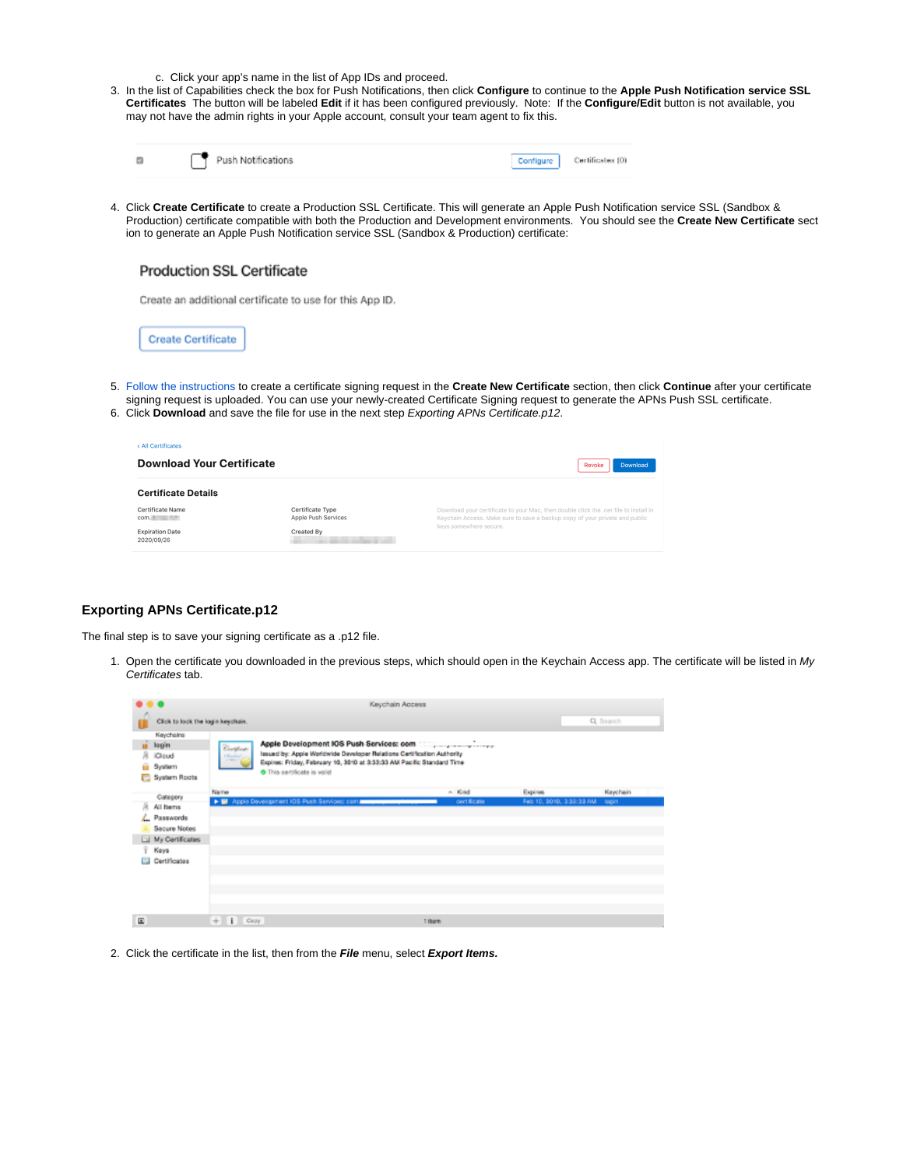- c. Click your app's name in the list of App IDs and proceed.
- 3. In the list of Capabilities check the box for Push Notifications, then click **Configure** to continue to the **Apple Push Notification service SSL Certificates** The button will be labeled **Edit** if it has been configured previously. Note: If the **Configure/Edit** button is not available, you may not have the admin rights in your Apple account, consult your team agent to fix this.

|  | Push Notifications | Configure Certificates (0) |
|--|--------------------|----------------------------|
|  |                    |                            |

4. Click **Create Certificate** to create a Production SSL Certificate. This will generate an Apple Push Notification service SSL (Sandbox & Production) certificate compatible with both the Production and Development environments. You should see the **Create New Certificate** sect ion to generate an Apple Push Notification service SSL (Sandbox & Production) certificate:

Create an additional certificate to use for this App ID.

**Create Certificate** 

- 5. [Follow the instructions](https://help.apple.com/developer-account/#/devbfa00fef7) to create a certificate signing request in the **Create New Certificate** section, then click **Continue** after your certificate signing request is uploaded. You can use your newly-created Certificate Signing request to generate the APNs Push SSL certificate.
- 6. Click **Download** and save the file for use in the next step Exporting APNs Certificate.p12.

| < All Certificates                   |                                                |                                                                                                                                                                     |
|--------------------------------------|------------------------------------------------|---------------------------------------------------------------------------------------------------------------------------------------------------------------------|
| <b>Download Your Certificate</b>     |                                                | Revoke<br>Download                                                                                                                                                  |
| <b>Certificate Details</b>           |                                                |                                                                                                                                                                     |
| <b>Certificate Name</b><br>com.      | <b>Certificate Type</b><br>Apple Push Services | Download your certificate to your Mac, then double click the .cer file to install in<br>Keychain Access. Make sure to save a backup copy of your private and public |
| <b>Expiration Date</b><br>2020/09/26 | Created By                                     | keys somewhere secure.                                                                                                                                              |

## <span id="page-3-0"></span>**Exporting APNs Certificate.p12**

The final step is to save your signing certificate as a .p12 file.

1. Open the certificate you downloaded in the previous steps, which should open in the Keychain Access app. The certificate will be listed in My Certificates tab.

| .     |                                                               |                                                 | Keychain Access                                                                                                                                                               |             |                          |           |          |  |
|-------|---------------------------------------------------------------|-------------------------------------------------|-------------------------------------------------------------------------------------------------------------------------------------------------------------------------------|-------------|--------------------------|-----------|----------|--|
|       | Click to lock the login locychain.                            |                                                 |                                                                                                                                                                               |             |                          | Q. Search |          |  |
| я     | Keychains<br>legin<br><b>iCloud</b><br>Syatem<br>System Roots | Continue.<br><b>Edmobile</b><br><b>CARD AND</b> | Issued by: Apple Worldwide Developer Relations Certification Authority<br>Expires: Friday, February 10, 3010 at 3:33:33 AM Pacific Standard Time<br>This certificate is valid |             |                          |           |          |  |
|       | Category                                                      | Name                                            |                                                                                                                                                                               | $\sim$ Kind | Expires                  |           | Keychain |  |
| s     | All Items                                                     |                                                 | F III Apple Development IOS Push Services: com.                                                                                                                               | cert ficate | Fab 10, 3010, 3:33:33 AM |           | login    |  |
|       | Passwords                                                     |                                                 |                                                                                                                                                                               |             |                          |           |          |  |
|       | Secure Notes                                                  |                                                 |                                                                                                                                                                               |             |                          |           |          |  |
|       | My Certificates                                               |                                                 |                                                                                                                                                                               |             |                          |           |          |  |
|       | Keys                                                          |                                                 |                                                                                                                                                                               |             |                          |           |          |  |
|       | Cartificates                                                  |                                                 |                                                                                                                                                                               |             |                          |           |          |  |
| $\Xi$ |                                                               | $+$ $1$ $Cay$                                   |                                                                                                                                                                               | 1 Horn      |                          |           |          |  |

2. Click the certificate in the list, then from the **File** menu, select **Export Items.**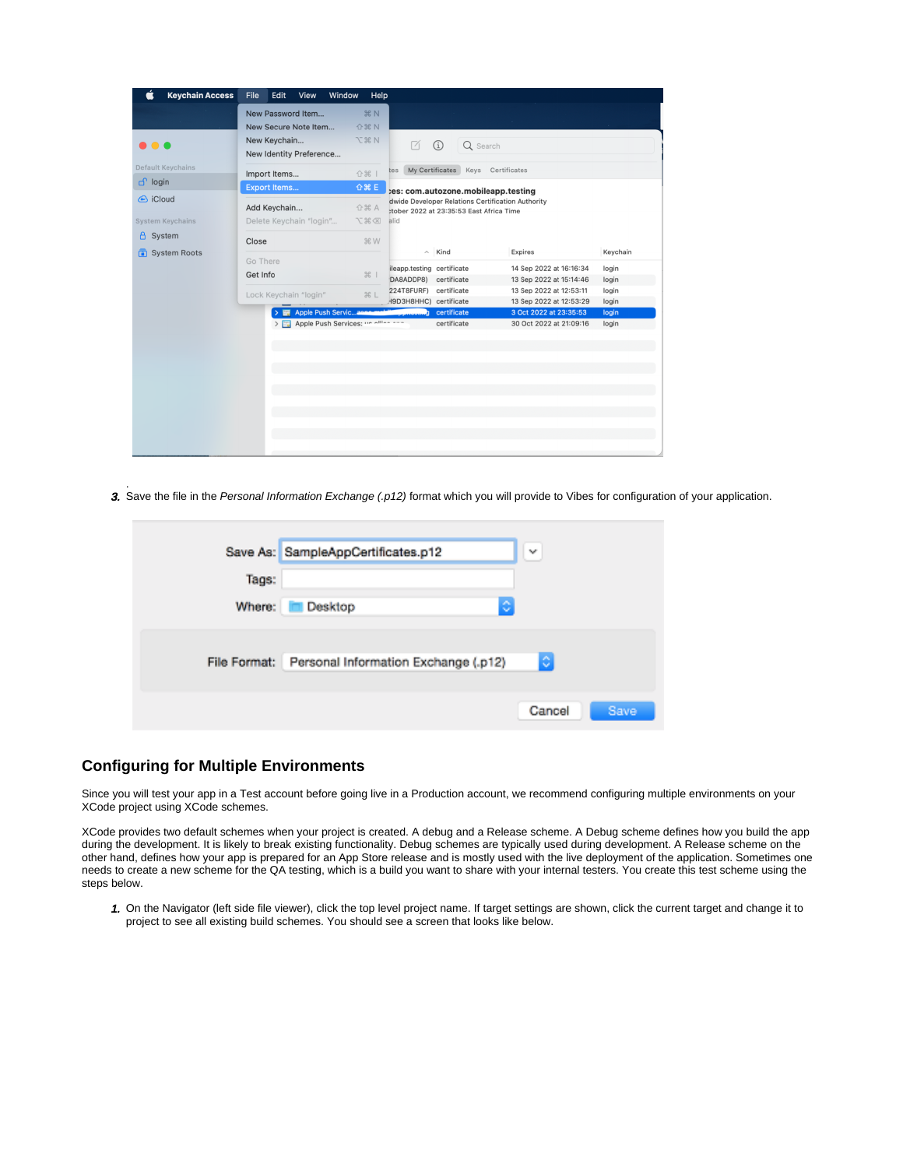| 介出 N<br>New Secure Note Item<br>N %7<br>New Keychain<br>M<br>(i)<br>$\bullet\bullet\bullet$<br>Q Search<br>New Identity Preference<br>Keys Certificates<br>My Certificates<br>tes<br>☆ 米  <br>Import Items<br><b>企器 E</b><br><b>Export Items</b><br>tes: com.autozone.mobileapp.testing<br>dwide Developer Relations Certification Authority<br>Add Keychain<br>合器 A<br>:tober 2022 at 23:35:53 East Africa Time<br>Delete Keychain "login"<br>区第了<br>alid<br><b>米W</b><br>Close<br>$\wedge$ Kind<br>Keychain<br>Expires<br>Go There<br>ileapp.testing certificate<br>login<br>14 Sep 2022 at 16:16:34<br>#<br>Get Info<br>certificate<br>DA8ADDP8)<br>13 Sep 2022 at 15:14:46<br>login<br>224T8FURF) certificate<br>13 Sep 2022 at 12:53:11<br>login<br>Lock Keychain "login"<br><b>HL</b><br>H9D3H8HHC) certificate<br>13 Sep 2022 at 12:53:29<br>login<br>3 Oct 2022 at 23:35:53<br>Apple Push Serviczene<br>certificate<br>login<br>1.11 |                          | New Password Item                     | <b>36 N</b> |             |                         |       |
|----------------------------------------------------------------------------------------------------------------------------------------------------------------------------------------------------------------------------------------------------------------------------------------------------------------------------------------------------------------------------------------------------------------------------------------------------------------------------------------------------------------------------------------------------------------------------------------------------------------------------------------------------------------------------------------------------------------------------------------------------------------------------------------------------------------------------------------------------------------------------------------------------------------------------------------------|--------------------------|---------------------------------------|-------------|-------------|-------------------------|-------|
|                                                                                                                                                                                                                                                                                                                                                                                                                                                                                                                                                                                                                                                                                                                                                                                                                                                                                                                                              |                          |                                       |             |             |                         |       |
|                                                                                                                                                                                                                                                                                                                                                                                                                                                                                                                                                                                                                                                                                                                                                                                                                                                                                                                                              |                          |                                       |             |             |                         |       |
|                                                                                                                                                                                                                                                                                                                                                                                                                                                                                                                                                                                                                                                                                                                                                                                                                                                                                                                                              |                          |                                       |             |             |                         |       |
|                                                                                                                                                                                                                                                                                                                                                                                                                                                                                                                                                                                                                                                                                                                                                                                                                                                                                                                                              | <b>Default Keychains</b> |                                       |             |             |                         |       |
|                                                                                                                                                                                                                                                                                                                                                                                                                                                                                                                                                                                                                                                                                                                                                                                                                                                                                                                                              | d login                  |                                       |             |             |                         |       |
|                                                                                                                                                                                                                                                                                                                                                                                                                                                                                                                                                                                                                                                                                                                                                                                                                                                                                                                                              | & iCloud                 |                                       |             |             |                         |       |
|                                                                                                                                                                                                                                                                                                                                                                                                                                                                                                                                                                                                                                                                                                                                                                                                                                                                                                                                              |                          |                                       |             |             |                         |       |
|                                                                                                                                                                                                                                                                                                                                                                                                                                                                                                                                                                                                                                                                                                                                                                                                                                                                                                                                              | <b>System Keychains</b>  |                                       |             |             |                         |       |
|                                                                                                                                                                                                                                                                                                                                                                                                                                                                                                                                                                                                                                                                                                                                                                                                                                                                                                                                              | $\Delta$<br>System       |                                       |             |             |                         |       |
|                                                                                                                                                                                                                                                                                                                                                                                                                                                                                                                                                                                                                                                                                                                                                                                                                                                                                                                                              | System Roots             |                                       |             |             |                         |       |
|                                                                                                                                                                                                                                                                                                                                                                                                                                                                                                                                                                                                                                                                                                                                                                                                                                                                                                                                              |                          |                                       |             |             |                         |       |
|                                                                                                                                                                                                                                                                                                                                                                                                                                                                                                                                                                                                                                                                                                                                                                                                                                                                                                                                              |                          |                                       |             |             |                         |       |
|                                                                                                                                                                                                                                                                                                                                                                                                                                                                                                                                                                                                                                                                                                                                                                                                                                                                                                                                              |                          |                                       |             |             |                         |       |
|                                                                                                                                                                                                                                                                                                                                                                                                                                                                                                                                                                                                                                                                                                                                                                                                                                                                                                                                              |                          |                                       |             |             |                         |       |
|                                                                                                                                                                                                                                                                                                                                                                                                                                                                                                                                                                                                                                                                                                                                                                                                                                                                                                                                              |                          |                                       |             |             |                         |       |
|                                                                                                                                                                                                                                                                                                                                                                                                                                                                                                                                                                                                                                                                                                                                                                                                                                                                                                                                              |                          | > 2 Apple Push Services: "2 Allian -- |             | certificate | 30 Oct 2022 at 21:09:16 | login |
|                                                                                                                                                                                                                                                                                                                                                                                                                                                                                                                                                                                                                                                                                                                                                                                                                                                                                                                                              |                          |                                       |             |             |                         |       |
|                                                                                                                                                                                                                                                                                                                                                                                                                                                                                                                                                                                                                                                                                                                                                                                                                                                                                                                                              |                          |                                       |             |             |                         |       |
|                                                                                                                                                                                                                                                                                                                                                                                                                                                                                                                                                                                                                                                                                                                                                                                                                                                                                                                                              |                          |                                       |             |             |                         |       |
|                                                                                                                                                                                                                                                                                                                                                                                                                                                                                                                                                                                                                                                                                                                                                                                                                                                                                                                                              |                          |                                       |             |             |                         |       |
|                                                                                                                                                                                                                                                                                                                                                                                                                                                                                                                                                                                                                                                                                                                                                                                                                                                                                                                                              |                          |                                       |             |             |                         |       |
|                                                                                                                                                                                                                                                                                                                                                                                                                                                                                                                                                                                                                                                                                                                                                                                                                                                                                                                                              |                          |                                       |             |             |                         |       |
|                                                                                                                                                                                                                                                                                                                                                                                                                                                                                                                                                                                                                                                                                                                                                                                                                                                                                                                                              |                          |                                       |             |             |                         |       |

3. . Save the file in the Personal Information Exchange (.p12) format which you will provide to Vibes for configuration of your application.

|        | Save As: SampleAppCertificates.p12                | v      |      |
|--------|---------------------------------------------------|--------|------|
| Tags:  |                                                   |        |      |
| Where: | ٥<br>Desktop                                      |        |      |
|        |                                                   |        |      |
|        | File Format: Personal Information Exchange (.p12) | ¢      |      |
|        |                                                   |        |      |
|        |                                                   | Cancel | Save |

## <span id="page-4-0"></span>**Configuring for Multiple Environments**

Since you will test your app in a Test account before going live in a Production account, we recommend configuring multiple environments on your XCode project using XCode schemes.

XCode provides two default schemes when your project is created. A debug and a Release scheme. A Debug scheme defines how you build the app during the development. It is likely to break existing functionality. Debug schemes are typically used during development. A Release scheme on the other hand, defines how your app is prepared for an App Store release and is mostly used with the live deployment of the application. Sometimes one needs to create a new scheme for the QA testing, which is a build you want to share with your internal testers. You create this test scheme using the steps below.

1. On the Navigator (left side file viewer), click the top level project name. If target settings are shown, click the current target and change it to project to see all existing build schemes. You should see a screen that looks like below.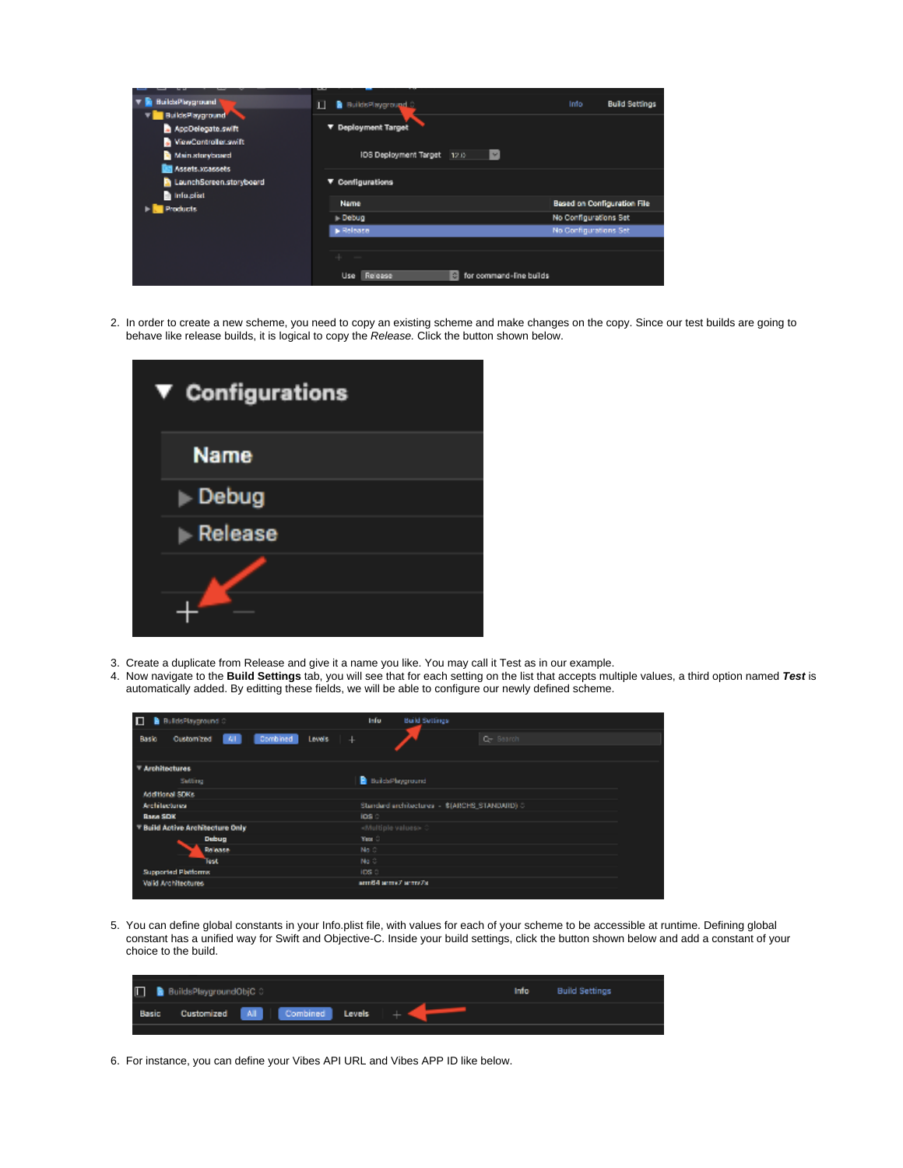|                         | فستحدث                                                        |                       |                       |
|-------------------------|---------------------------------------------------------------|-----------------------|-----------------------|
| BuildsPlayground"       | B BuildsPlayground<br>п                                       | Info                  | <b>Build Settings</b> |
| BuildsPlayground        |                                                               |                       |                       |
| AppDelegate.swift       | ▼ Deployment Target                                           |                       |                       |
| ViewController.swift    |                                                               |                       |                       |
| Main storyboard         | <b>108 Deployment Target</b><br>M<br>12.0                     |                       |                       |
| Assets.xcassets         |                                                               |                       |                       |
| LaunchScreen.storyboard | ▼ Configurations                                              |                       |                       |
| Info.plist              |                                                               |                       |                       |
|                         | Name<br><b>Based on Configuration File</b><br><b>Products</b> |                       |                       |
| Debug                   |                                                               | No Configurations Set |                       |
|                         | <b>B</b> Release                                              | No Configurations Set |                       |
|                         |                                                               |                       |                       |
|                         |                                                               |                       |                       |
|                         | Fill for command-line builds<br>Release<br><b>Use</b>         |                       |                       |
|                         |                                                               |                       |                       |

2. In order to create a new scheme, you need to copy an existing scheme and make changes on the copy. Since our test builds are going to behave like release builds, it is logical to copy the Release. Click the button shown below.

| $\blacktriangledown$ Configurations |
|-------------------------------------|
| <b>Name</b>                         |
| $\blacktriangleright$ Debug         |
| Release                             |
|                                     |

- 3. Create a duplicate from Release and give it a name you like. You may call it Test as in our example.
- 4. Now navigate to the **Build Settings** tab, you will see that for each setting on the list that accepts multiple values, a third option named **Test** is automatically added. By editting these fields, we will be able to configure our newly defined scheme.

| П<br><b>B</b> BuildsPlayground                           | <b>Info</b><br><b>Build Settings</b>          |
|----------------------------------------------------------|-----------------------------------------------|
| Combined<br>Levels.<br>Customized<br> A <br>Basic<br>$+$ | Or Search                                     |
| <b>Architectures</b>                                     |                                               |
| Satting                                                  | BuildsPhyground                               |
| Additional SDKs                                          |                                               |
| Architectures                                            | Standard architectures - \$(ARCHS_STANDARD) C |
| <b>Raza SDK</b>                                          | ios c                                         |
| Build Active Architecture Only                           | <multiple values=""></multiple>               |
| Dubug                                                    | The C                                         |
| Release                                                  | <b>Box</b>                                    |
| Test                                                     | No. 3                                         |
| <b>Supported Platforms</b>                               | ips a                                         |
| Valid Architectures                                      | arm64 serre/ scrrs/st                         |
|                                                          |                                               |

5. You can define global constants in your Info.plist file, with values for each of your scheme to be accessible at runtime. Defining global constant has a unified way for Swift and Objective-C. Inside your build settings, click the button shown below and add a constant of your choice to the build.

|       | <b>D</b> BuildsPlaygroundObjC C |                                |  | Info Build Settings |  |
|-------|---------------------------------|--------------------------------|--|---------------------|--|
| Basic |                                 | Customized All Combined Levels |  |                     |  |
|       |                                 |                                |  |                     |  |

6. For instance, you can define your Vibes API URL and Vibes APP ID like below.